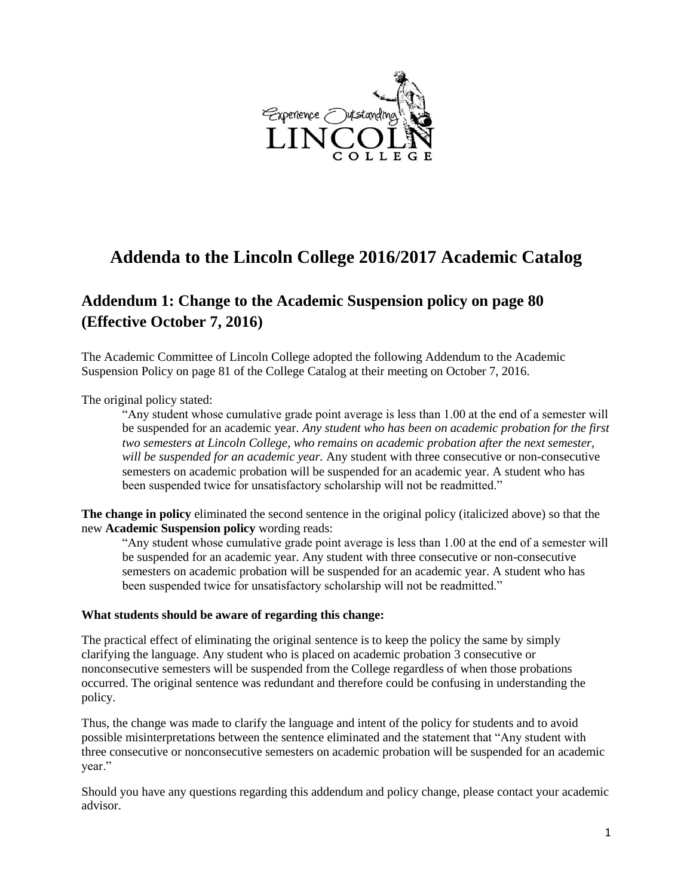

# **Addenda to the Lincoln College 2016/2017 Academic Catalog**

### **Addendum 1: Change to the Academic Suspension policy on page 80 (Effective October 7, 2016)**

The Academic Committee of Lincoln College adopted the following Addendum to the Academic Suspension Policy on page 81 of the College Catalog at their meeting on October 7, 2016.

The original policy stated:

"Any student whose cumulative grade point average is less than 1.00 at the end of a semester will be suspended for an academic year. *Any student who has been on academic probation for the first two semesters at Lincoln College, who remains on academic probation after the next semester, will be suspended for an academic year.* Any student with three consecutive or non-consecutive semesters on academic probation will be suspended for an academic year. A student who has been suspended twice for unsatisfactory scholarship will not be readmitted."

**The change in policy** eliminated the second sentence in the original policy (italicized above) so that the new **Academic Suspension policy** wording reads:

"Any student whose cumulative grade point average is less than 1.00 at the end of a semester will be suspended for an academic year. Any student with three consecutive or non-consecutive semesters on academic probation will be suspended for an academic year. A student who has been suspended twice for unsatisfactory scholarship will not be readmitted."

#### **What students should be aware of regarding this change:**

The practical effect of eliminating the original sentence is to keep the policy the same by simply clarifying the language. Any student who is placed on academic probation 3 consecutive or nonconsecutive semesters will be suspended from the College regardless of when those probations occurred. The original sentence was redundant and therefore could be confusing in understanding the policy.

Thus, the change was made to clarify the language and intent of the policy for students and to avoid possible misinterpretations between the sentence eliminated and the statement that "Any student with three consecutive or nonconsecutive semesters on academic probation will be suspended for an academic year."

Should you have any questions regarding this addendum and policy change, please contact your academic advisor.